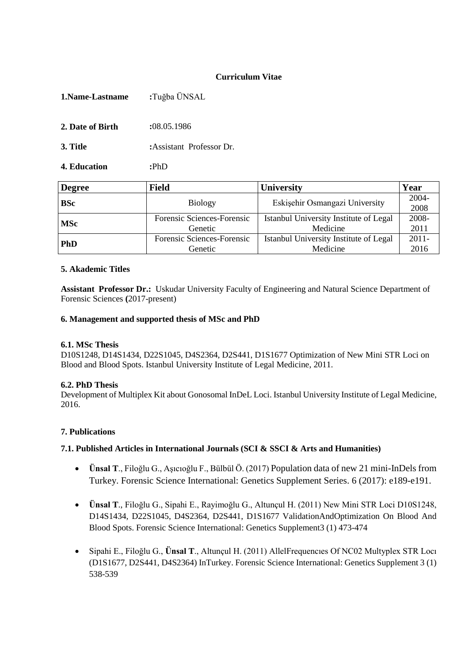## **Curriculum Vitae**

| 1. Name-Lastname | :Tuğba ÜNSAL             |  |  |
|------------------|--------------------------|--|--|
| 2. Date of Birth | :08.05.1986              |  |  |
| 3. Title         | :Assistant Professor Dr. |  |  |
| 4. Education     | :PhD                     |  |  |

| <b>Degree</b> | <b>Field</b>                                                         | <b>University</b>                      | Year             |
|---------------|----------------------------------------------------------------------|----------------------------------------|------------------|
| <b>BSc</b>    | <b>Biology</b>                                                       | Eskişehir Osmangazi University         | $2004 -$<br>2008 |
| <b>MSc</b>    | Istanbul University Institute of Legal<br>Forensic Sciences-Forensic |                                        | 2008-            |
|               | Genetic                                                              | Medicine                               | 2011             |
| <b>PhD</b>    | Forensic Sciences-Forensic                                           | Istanbul University Institute of Legal |                  |
|               | Genetic                                                              | Medicine                               | 2016             |

#### **5. Akademic Titles**

**Assistant Professor Dr.:** Uskudar University Faculty of Engineering and Natural Science Department of Forensic Sciences **(**2017-present)

#### **6. Management and supported thesis of MSc and PhD**

#### **6.1. MSc Thesis**

D10S1248, D14S1434, D22S1045, D4S2364, D2S441, D1S1677 Optimization of New Mini STR Loci on Blood and Blood Spots. Istanbul University Institute of Legal Medicine, 2011.

#### **6.2. PhD Thesis**

Development of Multiplex Kit about Gonosomal InDeL Loci. Istanbul University Institute of Legal Medicine, 2016.

#### **7. Publications**

#### **7.1. Published Articles in International Journals (SCI & SSCI & Arts and Humanities)**

- **Ünsal T**., Filoğlu G., Aşıcıoğlu F., Bülbül Ö. (2017) Population data of new 21 mini-InDels from Turkey. Forensic Science International: Genetics Supplement Series. 6 (2017): e189-e191.
- **Ünsal T**., Filoğlu G., Sipahi E., Rayimoğlu G., Altunçul H. (2011) New Mini STR Loci D10S1248, D14S1434, D22S1045, D4S2364, D2S441, D1S1677 ValidationAndOptimization On Blood And Blood Spots. Forensic Science International: Genetics Supplement3 (1) 473-474
- Sipahi E., Filoğlu G., **Ünsal T**., Altunçul H. (2011) AllelFrequencıes Of NC02 Multyplex STR Locı (D1S1677, D2S441, D4S2364) InTurkey. Forensic Science International: Genetics Supplement 3 (1) 538-539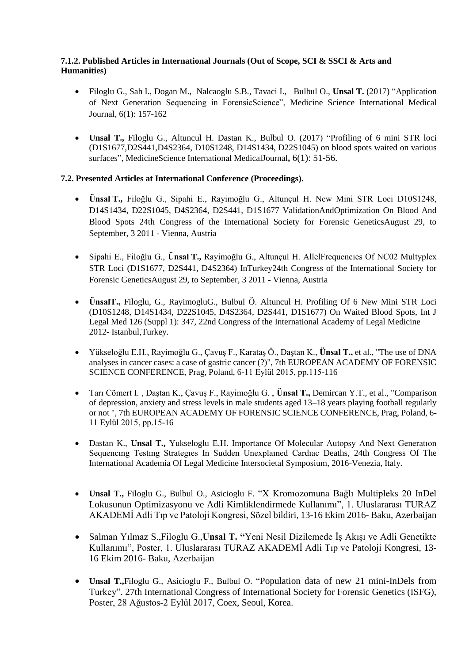## **7.1.2. Published Articles in International Journals (Out of Scope, SCI & SSCI & Arts and Humanities)**

- Filoglu G., Sah I., Dogan M., Nalcaoglu S.B., Tavaci I., Bulbul O., **Unsal T.** (2017) "Application of Next Generation Sequencing in ForensicScience", Medicine Science International Medical Journal, 6(1): 157-162
- **Unsal T.,** Filoglu G., Altuncul H. Dastan K., Bulbul O. (2017) "Profiling of 6 mini STR loci (D1S1677,D2S441,D4S2364, D10S1248, D14S1434, D22S1045) on blood spots waited on various surfaces", MedicineScience International MedicalJournal**,** 6(1): 51-56.

# **7.2. Presented Articles at International Conference (Proceedings).**

- **Ünsal T.,** Filoğlu G., Sipahi E., Rayimoğlu G., Altunçul H. New Mini STR Loci D10S1248, D14S1434, D22S1045, D4S2364, D2S441, D1S1677 ValidationAndOptimization On Blood And Blood Spots 24th Congress of the International Society for Forensic GeneticsAugust 29, to September, 3 2011 - Vienna, Austria
- Sipahi E., Filoğlu G., **Ünsal T.,** Rayimoğlu G., Altunçul H. AllelFrequencıes Of NC02 Multyplex STR Loci (D1S1677, D2S441, D4S2364) InTurkey24th Congress of the International Society for Forensic GeneticsAugust 29, to September, 3 2011 - Vienna, Austria
- **ÜnsalT.,** Filoglu, G., RayimogluG., Bulbul Ö. Altuncul H. Profiling Of 6 New Mini STR Loci (D10S1248, D14S1434, D22S1045, D4S2364, D2S441, D1S1677) On Waited Blood Spots, Int J Legal Med 126 (Suppl 1): 347, 22nd Congress of the International Academy of Legal Medicine 2012- Istanbul,Turkey.
- Yükseloğlu E.H., Rayimoğlu G., Çavuş F., Karataş Ö., Daştan K., **Ünsal T.,** et al., "The use of DNA analyses in cancer cases: a case of gastric cancer (?)", 7th EUROPEAN ACADEMY OF FORENSIC SCIENCE CONFERENCE, Prag, Poland, 6-11 Eylül 2015, pp.115-116
- Tarı Cömert I. , Daştan K., Çavuş F., Rayimoğlu G. , **Ünsal T.,** Demircan Y.T., et al., "Comparison of depression, anxiety and stress levels in male students aged 13–18 years playing football regularly or not ", 7th EUROPEAN ACADEMY OF FORENSIC SCIENCE CONFERENCE, Prag, Poland, 6- 11 Eylül 2015, pp.15-16
- Dastan K., **Unsal T.,** Yukseloglu E.H. Importance Of Molecular Autopsy And Next Generatıon Sequencıng Testıng Strategıes In Sudden Unexplaıned Cardıac Deaths, 24th Congress Of The International Academia Of Legal Medicine Intersocietal Symposium, 2016-Venezia, Italy.
- **Unsal T.,** Filoglu G., Bulbul O., Asicioglu F. "X Kromozomuna Bağlı Multipleks 20 InDel Lokusunun Optimizasyonu ve Adli Kimliklendirmede Kullanımı", 1. Uluslararası TURAZ AKADEMİ Adli Tıp ve Patoloji Kongresi, Sözel bildiri, 13-16 Ekim 2016- Baku, Azerbaijan
- Salman Yılmaz S.,Filoglu G.,**Unsal T. "**Yeni Nesil Dizilemede İş Akışı ve Adli Genetikte Kullanımı", Poster, 1. Uluslararası TURAZ AKADEMİ Adli Tıp ve Patoloji Kongresi, 13- 16 Ekim 2016- Baku, Azerbaijan
- **Unsal T.,**Filoglu G., Asicioglu F., Bulbul O. "Population data of new 21 mini-InDels from Turkey". 27th International Congress of International Society for Forensic Genetics (ISFG), Poster, 28 Ağustos-2 Eylül 2017, Coex, Seoul, Korea.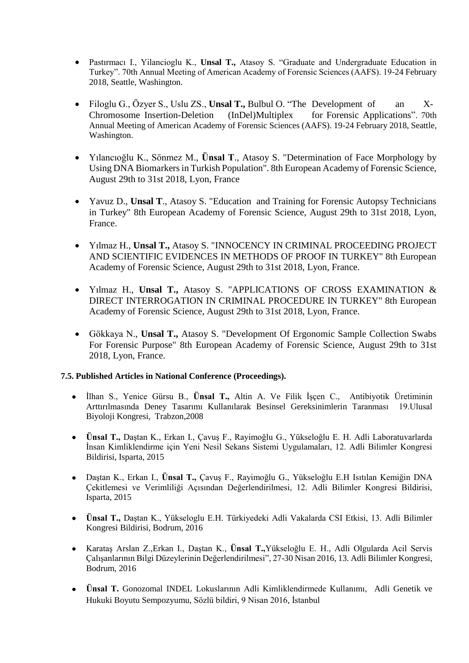- Pastırmacı I., Yilancioglu K., **Unsal T.,** Atasoy S. "Graduate and Undergraduate Education in Turkey". 70th Annual Meeting of American Academy of Forensic Sciences (AAFS). 19-24 February 2018, Seattle, Washington.
- Filoglu G., Özyer S., Uslu ZS., **Unsal T.,** Bulbul O. "The Development of an X-Chromosome Insertion-Deletion (InDel)Multiplex for Forensic Applications". 70th Annual Meeting of American Academy of Forensic Sciences (AAFS). 19-24 February 2018, Seattle, Washington.
- Yılancıoğlu K., Sönmez M., **Ünsal T**., Atasoy S. "Determination of Face Morphology by Using DNA Biomarkers in Turkish Population". 8th European Academy of Forensic Science, August 29th to 31st 2018, Lyon, France
- Yavuz D., **Unsal T**., Atasoy S. "Education and Training for Forensic Autopsy Technicians in Turkey" 8th European Academy of Forensic Science, August 29th to 31st 2018, Lyon, France.
- Yılmaz H., **Unsal T.,** Atasoy S. "INNOCENCY IN CRIMINAL PROCEEDING PROJECT AND SCIENTIFIC EVIDENCES IN METHODS OF PROOF IN TURKEY" 8th European Academy of Forensic Science, August 29th to 31st 2018, Lyon, France.
- Yılmaz H., **Unsal T.,** Atasoy S. "APPLICATIONS OF CROSS EXAMINATION & DIRECT INTERROGATION IN CRIMINAL PROCEDURE IN TURKEY" 8th European Academy of Forensic Science, August 29th to 31st 2018, Lyon, France.
- Gökkaya N., **Unsal T.,** Atasoy S. "Development Of Ergonomic Sample Collection Swabs For Forensic Purpose" 8th European Academy of Forensic Science, August 29th to 31st 2018, Lyon, France.

## **7.5. Published Articles in National Conference (Proceedings).**

- İlhan S., Yenice Gürsu B., **Ünsal T.,** Altin A. Ve Filik İşçen C., Antibiyotik Üretiminin Arttırılmasında Deney Tasarımı Kullanılarak Besinsel Gereksinimlerin Taranması 19.Ulusal Biyoloji Kongresi, Trabzon,2008
- **Ünsal T.,** Daştan K., Erkan I., Çavuş F., Rayimoğlu G., Yükseloğlu E. H. Adli Laboratuvarlarda İnsan Kimliklendirme için Yeni Nesil Sekans Sistemi Uygulamaları, 12. Adli Bilimler Kongresi Bildirisi, Isparta, 2015
- Daştan K., Erkan I., **Ünsal T.,** Çavuş F., Rayimoğlu G., Yükseloğlu E.H Isıtılan Kemiğin DNA Çekitlemesi ve Verimliliği Açısından Değerlendirilmesi, 12. Adli Bilimler Kongresi Bildirisi, Isparta, 2015
- **Ünsal T.,** Daştan K., Yükseloglu E.H. Türkiyedeki Adli Vakalarda CSI Etkisi, 13. Adli Bilimler Kongresi Bildirisi, Bodrum, 2016
- Karataş Arslan Z.,Erkan I., Daştan K., **Ünsal T.,**Yükseloğlu E. H., Adli Olgularda Acil Servis Çalışanlarının Bilgi Düzeylerinin Değerlendirilmesi", 27-30 Nisan 2016, 13. Adli Bilimler Kongresi, Bodrum, 2016
- **Ünsal T.** Gonozomal INDEL Lokuslarının Adli Kimliklendirmede Kullanımı, Adli Genetik ve Hukuki Boyutu Sempozyumu, Sözlü bildiri, 9 Nisan 2016, İstanbul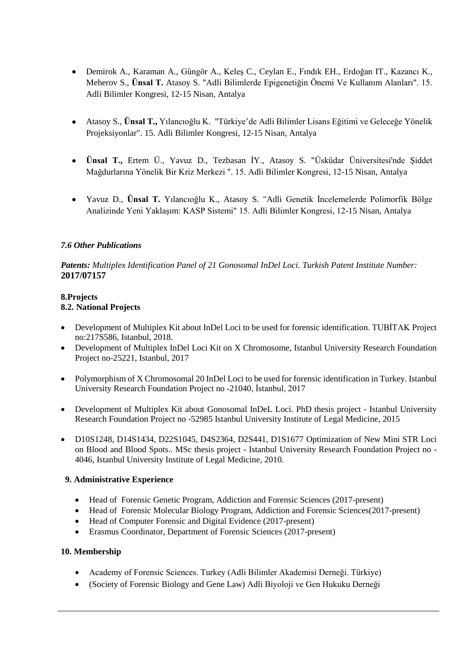- Demirok A., Karaman A., Güngör A., Keleş C., Ceylan E., Fındık EH., Erdoğan IT., Kazancı K., Meherov S., **Ünsal T.** Atasoy S. "Adli Bilimlerde Epigenetiğin Önemi Ve Kullanım Alanları". 15. Adli Bilimler Kongresi, 12-15 Nisan, Antalya
- Atasoy S., **Ünsal T.,** Yılancıoğlu K. "Türkiye'de Adli Bilimler Lisans Eğitimi ve Geleceğe Yönelik Projeksiyonlar". 15. Adli Bilimler Kongresi, 12-15 Nisan, Antalya
- **Ünsal T.,** Ertem Ü., Yavuz D., Tezbasan İY., Atasoy S. "Üsküdar Üniversitesi'nde Şiddet Mağdurlarına Yönelik Bir Kriz Merkezi ". 15. Adli Bilimler Kongresi, 12-15 Nisan, Antalya
- Yavuz D., **Ünsal T.** Yılancıoğlu K., Atasoy S. "Adli Genetik İncelemelerde Polimorfik Bölge Analizinde Yeni Yaklaşım: KASP Sistemi" 15. Adli Bilimler Kongresi, 12-15 Nisan, Antalya

## *7.6 Other Publications*

*Patents: Multiplex Identification Panel of 21 Gonosomal InDel Loci. Turkish Patent Institute Number:* **2017/07157**

#### **8.Projects 8.2. National Projects**

- Development of Multiplex Kit about InDel Loci to be used for forensic identification. TUBİTAK Project no:217S586, Istanbul, 2018.
- Development of Multiplex InDel Loci Kit on X Chromosome, Istanbul University Research Foundation Project no-25221, Istanbul, 2017
- Polymorphism of X Chromosomal 20 InDel Loci to be used for forensic identification in Turkey. Istanbul University Research Foundation Project no -21040, İstanbul, 2017
- Development of Multiplex Kit about Gonosomal InDeL Loci. PhD thesis project Istanbul University Research Foundation Project no -52985 Istanbul University Institute of Legal Medicine, 2015
- D10S1248, D14S1434, D22S1045, D4S2364, D2S441, D1S1677 Optimization of New Mini STR Loci on Blood and Blood Spots.. MSc thesis project - Istanbul University Research Foundation Project no - 4046, Istanbul University Institute of Legal Medicine, 2010.

## **9. Administrative Experience**

- Head of Forensic Genetic Program, Addiction and Forensic Sciences (2017-present)
- Head of Forensic Molecular Biology Program, Addiction and Forensic Sciences(2017-present)
- Head of Computer Forensic and Digital Evidence (2017-present)
- Erasmus Coordinator, Department of Forensic Sciences (2017-present)

## **10. Membership**

- Academy of Forensic Sciences. Turkey (Adli Bilimler Akademisi Derneği. Türkiye)
- (Society of Forensic Biology and Gene Law) Adli Biyoloji ve Gen Hukuku Derneği